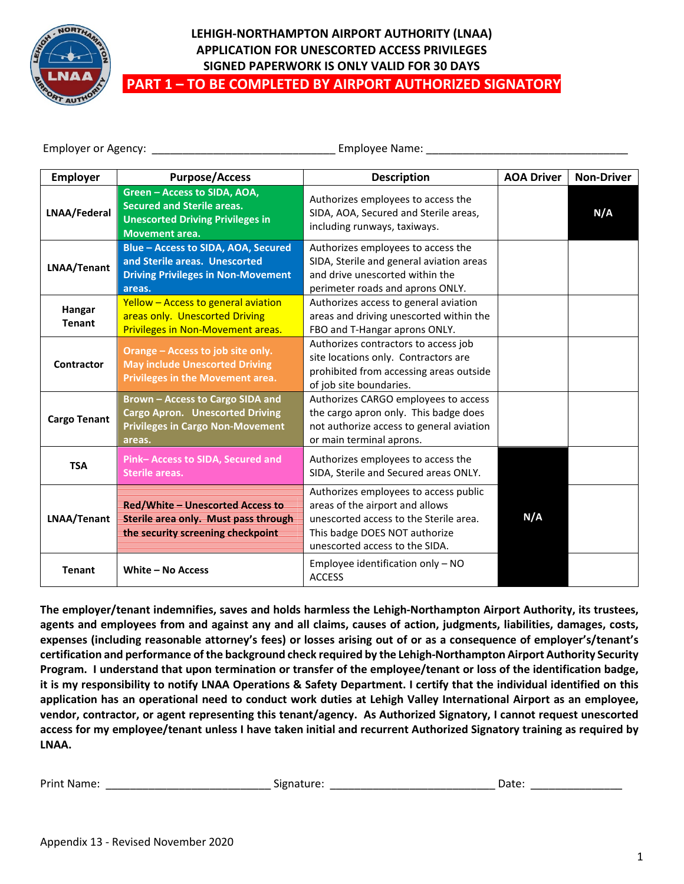

## **LEHIGH-NORTHAMPTON AIRPORT AUTHORITY (LNAA) APPLICATION FOR UNESCORTED ACCESS PRIVILEGES SIGNED PAPERWORK IS ONLY VALID FOR 30 DAYS PART 1 – TO BE COMPLETED BY AIRPORT AUTHORIZED SIGNATORY**

Employer or Agency: \_\_\_\_\_\_\_\_\_\_\_\_\_\_\_\_\_\_\_\_\_\_\_\_\_\_\_\_\_\_ Employee Name: \_\_\_\_\_\_\_\_\_\_\_\_\_\_\_\_\_\_\_\_\_\_\_\_\_\_\_\_\_\_\_\_\_

| <b>Employer</b>         | <b>Purpose/Access</b>                                                                                                                 | <b>Description</b>                                                                                                                                                                    | <b>AOA Driver</b> | <b>Non-Driver</b> |
|-------------------------|---------------------------------------------------------------------------------------------------------------------------------------|---------------------------------------------------------------------------------------------------------------------------------------------------------------------------------------|-------------------|-------------------|
| LNAA/Federal            | Green - Access to SIDA, AOA,<br><b>Secured and Sterile areas.</b><br><b>Unescorted Driving Privileges in</b><br><b>Movement area.</b> | Authorizes employees to access the<br>SIDA, AOA, Secured and Sterile areas,<br>including runways, taxiways.                                                                           |                   | N/A               |
| LNAA/Tenant             | Blue - Access to SIDA, AOA, Secured<br>and Sterile areas. Unescorted<br><b>Driving Privileges in Non-Movement</b><br>areas.           | Authorizes employees to access the<br>SIDA, Sterile and general aviation areas<br>and drive unescorted within the<br>perimeter roads and aprons ONLY.                                 |                   |                   |
| Hangar<br><b>Tenant</b> | Yellow - Access to general aviation<br>areas only. Unescorted Driving<br>Privileges in Non-Movement areas.                            | Authorizes access to general aviation<br>areas and driving unescorted within the<br>FBO and T-Hangar aprons ONLY.                                                                     |                   |                   |
| Contractor              | Orange - Access to job site only.<br><b>May include Unescorted Driving</b><br>Privileges in the Movement area.                        | Authorizes contractors to access job<br>site locations only. Contractors are<br>prohibited from accessing areas outside<br>of job site boundaries.                                    |                   |                   |
| <b>Cargo Tenant</b>     | Brown - Access to Cargo SIDA and<br><b>Cargo Apron.</b> Unescorted Driving<br><b>Privileges in Cargo Non-Movement</b><br>areas.       | Authorizes CARGO employees to access<br>the cargo apron only. This badge does<br>not authorize access to general aviation<br>or main terminal aprons.                                 |                   |                   |
| <b>TSA</b>              | Pink-Access to SIDA, Secured and<br><b>Sterile areas.</b>                                                                             | Authorizes employees to access the<br>SIDA, Sterile and Secured areas ONLY.                                                                                                           |                   |                   |
| LNAA/Tenant             | Red/White - Unescorted Access to<br>Sterile area only. Must pass through<br>the security screening checkpoint                         | Authorizes employees to access public<br>areas of the airport and allows<br>unescorted access to the Sterile area.<br>This badge DOES NOT authorize<br>unescorted access to the SIDA. | N/A               |                   |
| <b>Tenant</b>           | White - No Access                                                                                                                     | Employee identification only - NO<br><b>ACCESS</b>                                                                                                                                    |                   |                   |

**The employer/tenant indemnifies, saves and holds harmless the Lehigh-Northampton Airport Authority, its trustees, agents and employees from and against any and all claims, causes of action, judgments, liabilities, damages, costs, expenses (including reasonable attorney's fees) or losses arising out of or as a consequence of employer's/tenant's certification and performance of the background check required by the Lehigh-Northampton Airport Authority Security Program. I understand that upon termination or transfer of the employee/tenant or loss of the identification badge, it is my responsibility to notify LNAA Operations & Safety Department. I certify that the individual identified on this application has an operational need to conduct work duties at Lehigh Valley International Airport as an employee, vendor, contractor, or agent representing this tenant/agency. As Authorized Signatory, I cannot request unescorted access for my employee/tenant unless I have taken initial and recurrent Authorized Signatory training as required by LNAA.**

Print Name: \_\_\_\_\_\_\_\_\_\_\_\_\_\_\_\_\_\_\_\_\_\_\_\_\_\_\_ Signature: \_\_\_\_\_\_\_\_\_\_\_\_\_\_\_\_\_\_\_\_\_\_\_\_\_\_\_ Date: \_\_\_\_\_\_\_\_\_\_\_\_\_\_\_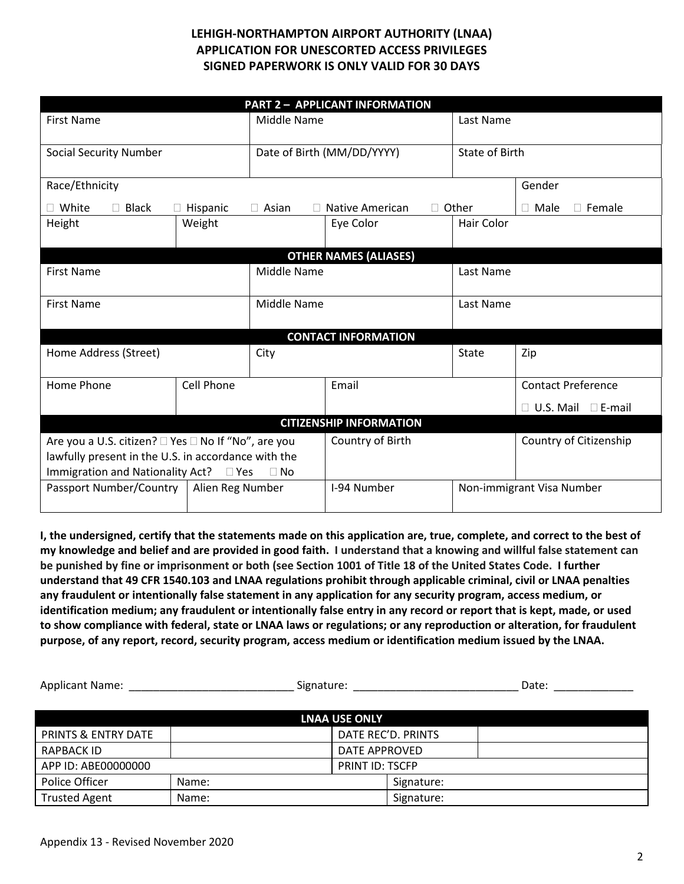| <b>PART 2 - APPLICANT INFORMATION</b>               |               |              |                              |              |                                |  |  |
|-----------------------------------------------------|---------------|--------------|------------------------------|--------------|--------------------------------|--|--|
| <b>First Name</b>                                   |               | Middle Name  |                              | Last Name    |                                |  |  |
|                                                     |               |              |                              |              |                                |  |  |
| <b>Social Security Number</b>                       |               |              | Date of Birth (MM/DD/YYYY)   |              | <b>State of Birth</b>          |  |  |
| Race/Ethnicity                                      |               |              |                              | Gender       |                                |  |  |
| White<br>$\Box$ Black                               | Hispanic      | $\Box$ Asian | Native American              | $\Box$ Other | $\Box$ Female<br>$\Box$ Male   |  |  |
| Height                                              | Weight        |              | Eye Color                    | Hair Color   |                                |  |  |
|                                                     |               |              |                              |              |                                |  |  |
|                                                     |               |              | <b>OTHER NAMES (ALIASES)</b> |              |                                |  |  |
| <b>First Name</b>                                   |               | Middle Name  |                              | Last Name    |                                |  |  |
| <b>First Name</b>                                   |               | Middle Name  |                              | Last Name    |                                |  |  |
|                                                     |               |              |                              |              |                                |  |  |
|                                                     |               |              | <b>CONTACT INFORMATION</b>   |              |                                |  |  |
| Home Address (Street)                               |               | City         |                              | State        | Zip                            |  |  |
| Cell Phone<br>Home Phone                            |               | Email        |                              |              | <b>Contact Preference</b>      |  |  |
|                                                     |               |              |                              |              | $\Box$ U.S. Mail $\Box$ E-mail |  |  |
| <b>CITIZENSHIP INFORMATION</b>                      |               |              |                              |              |                                |  |  |
| Are you a U.S. citizen? □ Yes □ No If "No", are you |               |              | Country of Birth             |              | Country of Citizenship         |  |  |
| lawfully present in the U.S. in accordance with the |               |              |                              |              |                                |  |  |
| Immigration and Nationality Act?                    | $\square$ Yes | $\Box$ No    |                              |              |                                |  |  |
| Passport Number/Country  <br>Alien Reg Number       |               |              | I-94 Number                  |              | Non-immigrant Visa Number      |  |  |

**I, the undersigned, certify that the statements made on this application are, true, complete, and correct to the best of my knowledge and belief and are provided in good faith. I understand that a knowing and willful false statement can be punished by fine or imprisonment or both (see Section 1001 of Title 18 of the United States Code. I further understand that 49 CFR 1540.103 and LNAA regulations prohibit through applicable criminal, civil or LNAA penalties any fraudulent or intentionally false statement in any application for any security program, access medium, or identification medium; any fraudulent or intentionally false entry in any record or report that is kept, made, or used to show compliance with federal, state or LNAA laws or regulations; or any reproduction or alteration, for fraudulent purpose, of any report, record, security program, access medium or identification medium issued by the LNAA.** 

| <b>Applicant Name:</b>        |                        | Signature:           |                    | Date: |
|-------------------------------|------------------------|----------------------|--------------------|-------|
|                               |                        | <b>LNAA USE ONLY</b> |                    |       |
| PRINTS & ENTRY DATE           |                        |                      | DATE REC'D. PRINTS |       |
| RAPBACK ID                    |                        | DATE APPROVED        |                    |       |
| APP ID: ABE00000000           | <b>PRINT ID: TSCFP</b> |                      |                    |       |
| Police Officer                | Name:                  |                      | Signature:         |       |
| <b>Trusted Agent</b><br>Name: |                        |                      | Signature:         |       |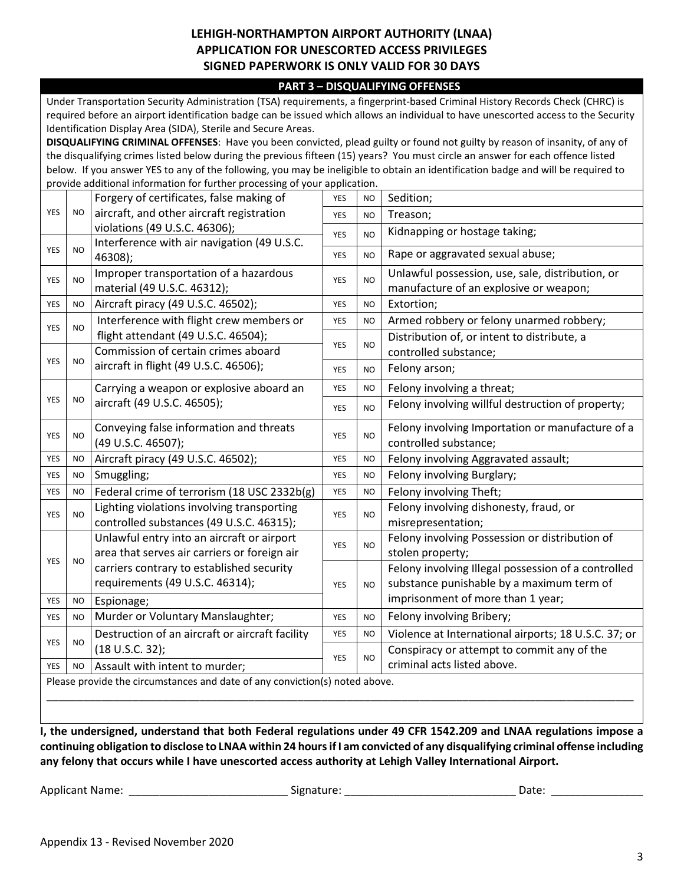#### **PART 3 – DISQUALIFYING OFFENSES**

Under Transportation Security Administration (TSA) requirements, a fingerprint-based Criminal History Records Check (CHRC) is required before an airport identification badge can be issued which allows an individual to have unescorted access to the Security Identification Display Area (SIDA), Sterile and Secure Areas.

**DISQUALIFYING CRIMINAL OFFENSES**: Have you been convicted, plead guilty or found not guilty by reason of insanity, of any of the disqualifying crimes listed below during the previous fifteen (15) years? You must circle an answer for each offence listed below. If you answer YES to any of the following, you may be ineligible to obtain an identification badge and will be required to provide additional information for further processing of your application.

|                                                                             |           | Forgery of certificates, false making of        | <b>YES</b> | <b>NO</b>      | Sedition;                                            |  |
|-----------------------------------------------------------------------------|-----------|-------------------------------------------------|------------|----------------|------------------------------------------------------|--|
| <b>YES</b>                                                                  | <b>NO</b> | aircraft, and other aircraft registration       |            | N <sub>O</sub> | Treason;                                             |  |
|                                                                             |           | violations (49 U.S.C. 46306);                   |            |                |                                                      |  |
|                                                                             |           | Interference with air navigation (49 U.S.C.     |            | NO             | Kidnapping or hostage taking;                        |  |
| <b>YES</b>                                                                  | <b>NO</b> | 46308);                                         |            | N <sub>O</sub> | Rape or aggravated sexual abuse;                     |  |
| <b>YES</b>                                                                  | <b>NO</b> | Improper transportation of a hazardous          | <b>YES</b> | <b>NO</b>      | Unlawful possession, use, sale, distribution, or     |  |
|                                                                             |           | material (49 U.S.C. 46312);                     |            |                | manufacture of an explosive or weapon;               |  |
| <b>YES</b>                                                                  | <b>NO</b> | Aircraft piracy (49 U.S.C. 46502);              | <b>YES</b> | NO             | Extortion;                                           |  |
| <b>YES</b>                                                                  | NO        | Interference with flight crew members or        | <b>YES</b> | <b>NO</b>      | Armed robbery or felony unarmed robbery;             |  |
|                                                                             |           | flight attendant (49 U.S.C. 46504);             |            |                | Distribution of, or intent to distribute, a          |  |
|                                                                             |           | Commission of certain crimes aboard             | <b>YES</b> | NO             | controlled substance;                                |  |
| <b>YES</b>                                                                  | <b>NO</b> | aircraft in flight (49 U.S.C. 46506);           | <b>YES</b> | NO             | Felony arson;                                        |  |
|                                                                             |           | Carrying a weapon or explosive aboard an        | <b>YES</b> | <b>NO</b>      | Felony involving a threat;                           |  |
| <b>YES</b>                                                                  | <b>NO</b> | aircraft (49 U.S.C. 46505);                     | <b>YES</b> | N <sub>O</sub> | Felony involving willful destruction of property;    |  |
| <b>YES</b>                                                                  | NO        | Conveying false information and threats         | <b>YES</b> | N <sub>O</sub> | Felony involving Importation or manufacture of a     |  |
|                                                                             |           | (49 U.S.C. 46507);                              |            |                | controlled substance;                                |  |
| <b>YES</b>                                                                  | <b>NO</b> | Aircraft piracy (49 U.S.C. 46502);              | <b>YES</b> | <b>NO</b>      | Felony involving Aggravated assault;                 |  |
| <b>YES</b>                                                                  | <b>NO</b> | Smuggling;                                      | <b>YES</b> | <b>NO</b>      | Felony involving Burglary;                           |  |
| <b>YES</b>                                                                  | <b>NO</b> | Federal crime of terrorism (18 USC 2332b(g)     | <b>YES</b> | <b>NO</b>      | Felony involving Theft;                              |  |
| YES                                                                         | <b>NO</b> | Lighting violations involving transporting      | <b>YES</b> | NO             | Felony involving dishonesty, fraud, or               |  |
|                                                                             |           | controlled substances (49 U.S.C. 46315);        |            |                | misrepresentation;                                   |  |
|                                                                             |           | Unlawful entry into an aircraft or airport      | <b>YES</b> | N <sub>O</sub> | Felony involving Possession or distribution of       |  |
| <b>YES</b>                                                                  | <b>NO</b> | area that serves air carriers or foreign air    |            |                | stolen property;                                     |  |
|                                                                             |           | carriers contrary to established security       |            |                | Felony involving Illegal possession of a controlled  |  |
|                                                                             |           | requirements (49 U.S.C. 46314);                 | <b>YES</b> | <b>NO</b>      | substance punishable by a maximum term of            |  |
| <b>YES</b>                                                                  | <b>NO</b> | Espionage;                                      |            |                | imprisonment of more than 1 year;                    |  |
| <b>YES</b>                                                                  | <b>NO</b> | Murder or Voluntary Manslaughter;               | <b>YES</b> | <b>NO</b>      | Felony involving Bribery;                            |  |
|                                                                             |           | Destruction of an aircraft or aircraft facility | <b>YES</b> | <b>NO</b>      | Violence at International airports; 18 U.S.C. 37; or |  |
| YES                                                                         | <b>NO</b> | (18 U.S.C. 32);                                 |            |                | Conspiracy or attempt to commit any of the           |  |
| <b>YES</b>                                                                  | <b>NO</b> | Assault with intent to murder;                  | YES        | NO             | criminal acts listed above.                          |  |
| Please provide the circumstances and date of any conviction(s) noted above. |           |                                                 |            |                |                                                      |  |
|                                                                             |           |                                                 |            |                |                                                      |  |
|                                                                             |           |                                                 |            |                |                                                      |  |

**I, the undersigned, understand that both Federal regulations under 49 CFR 1542.209 and LNAA regulations impose a continuing obligation to disclose to LNAA within 24 hours if I am convicted of any disqualifying criminal offense including any felony that occurs while I have unescorted access authority at Lehigh Valley International Airport.**

Applicant Name: \_\_\_\_\_\_\_\_\_\_\_\_\_\_\_\_\_\_\_\_\_\_\_\_\_\_ Signature: \_\_\_\_\_\_\_\_\_\_\_\_\_\_\_\_\_\_\_\_\_\_\_\_\_\_\_\_ Date: \_\_\_\_\_\_\_\_\_\_\_\_\_\_\_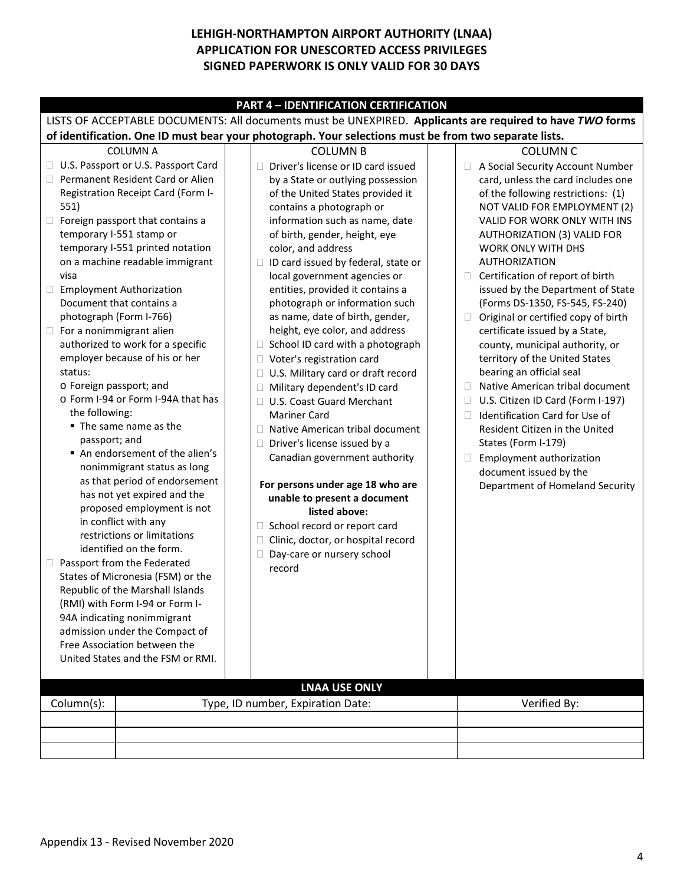| <b>PART 4 - IDENTIFICATION CERTIFICATION</b>                                                              |                                                                                                                                                                                                                                                                                                                                         |  |                                                                                                                                                                                                                                                                                                                                                                                                                                                                                      |  |                                                                                                                                                                                                                                                                                                                                                                                                                                   |  |  |
|-----------------------------------------------------------------------------------------------------------|-----------------------------------------------------------------------------------------------------------------------------------------------------------------------------------------------------------------------------------------------------------------------------------------------------------------------------------------|--|--------------------------------------------------------------------------------------------------------------------------------------------------------------------------------------------------------------------------------------------------------------------------------------------------------------------------------------------------------------------------------------------------------------------------------------------------------------------------------------|--|-----------------------------------------------------------------------------------------------------------------------------------------------------------------------------------------------------------------------------------------------------------------------------------------------------------------------------------------------------------------------------------------------------------------------------------|--|--|
| LISTS OF ACCEPTABLE DOCUMENTS: All documents must be UNEXPIRED. Applicants are required to have TWO forms |                                                                                                                                                                                                                                                                                                                                         |  |                                                                                                                                                                                                                                                                                                                                                                                                                                                                                      |  |                                                                                                                                                                                                                                                                                                                                                                                                                                   |  |  |
| of identification. One ID must bear your photograph. Your selections must be from two separate lists.     |                                                                                                                                                                                                                                                                                                                                         |  |                                                                                                                                                                                                                                                                                                                                                                                                                                                                                      |  |                                                                                                                                                                                                                                                                                                                                                                                                                                   |  |  |
|                                                                                                           | <b>COLUMN A</b><br>□ U.S. Passport or U.S. Passport Card<br>Permanent Resident Card or Alien                                                                                                                                                                                                                                            |  | <b>COLUMN B</b><br>Driver's license or ID card issued<br>П.<br>by a State or outlying possession                                                                                                                                                                                                                                                                                                                                                                                     |  | <b>COLUMN C</b><br>A Social Security Account Number<br>card, unless the card includes one                                                                                                                                                                                                                                                                                                                                         |  |  |
| 551)                                                                                                      | Registration Receipt Card (Form I-<br>$\Box$ Foreign passport that contains a<br>temporary I-551 stamp or                                                                                                                                                                                                                               |  | of the United States provided it<br>contains a photograph or<br>information such as name, date<br>of birth, gender, height, eye                                                                                                                                                                                                                                                                                                                                                      |  | of the following restrictions: (1)<br>NOT VALID FOR EMPLOYMENT (2)<br>VALID FOR WORK ONLY WITH INS<br>AUTHORIZATION (3) VALID FOR                                                                                                                                                                                                                                                                                                 |  |  |
| visa<br>□ Employment Authorization<br>photograph (Form I-766)                                             | temporary I-551 printed notation<br>on a machine readable immigrant<br>Document that contains a                                                                                                                                                                                                                                         |  | color, and address<br>$\Box$ ID card issued by federal, state or<br>local government agencies or<br>entities, provided it contains a<br>photograph or information such<br>as name, date of birth, gender,                                                                                                                                                                                                                                                                            |  | <b>WORK ONLY WITH DHS</b><br><b>AUTHORIZATION</b><br>$\Box$ Certification of report of birth<br>issued by the Department of State<br>(Forms DS-1350, FS-545, FS-240)<br>Original or certified copy of birth                                                                                                                                                                                                                       |  |  |
| $\Box$ For a nonimmigrant alien<br>status:<br>o Foreign passport; and<br>the following:<br>passport; and  | authorized to work for a specific<br>employer because of his or her<br>o Form I-94 or Form I-94A that has<br>■ The same name as the<br>An endorsement of the alien's<br>nonimmigrant status as long<br>as that period of endorsement<br>has not yet expired and the<br>proposed employment is not<br>in conflict with any               |  | height, eye color, and address<br>$\Box$ School ID card with a photograph<br>Voter's registration card<br>U.S. Military card or draft record<br>Military dependent's ID card<br>U.S. Coast Guard Merchant<br>П.<br><b>Mariner Card</b><br>Native American tribal document<br>П.<br>Driver's license issued by a<br>$\Box$<br>Canadian government authority<br>For persons under age 18 who are<br>unable to present a document<br>listed above:<br>School record or report card<br>u |  | certificate issued by a State,<br>county, municipal authority, or<br>territory of the United States<br>bearing an official seal<br>Native American tribal document<br>$\Box$<br>U.S. Citizen ID Card (Form I-197)<br>$\Box$<br>Identification Card for Use of<br>$\mathbb{R}^n$<br>Resident Citizen in the United<br>States (Form I-179)<br>Employment authorization<br>document issued by the<br>Department of Homeland Security |  |  |
| $\Box$                                                                                                    | restrictions or limitations<br>identified on the form.<br>Passport from the Federated<br>States of Micronesia (FSM) or the<br>Republic of the Marshall Islands<br>(RMI) with Form I-94 or Form I-<br>94A indicating nonimmigrant<br>admission under the Compact of<br>Free Association between the<br>United States and the FSM or RMI. |  | Clinic, doctor, or hospital record<br>Day-care or nursery school<br>record                                                                                                                                                                                                                                                                                                                                                                                                           |  |                                                                                                                                                                                                                                                                                                                                                                                                                                   |  |  |
| <b>LNAA USE ONLY</b>                                                                                      |                                                                                                                                                                                                                                                                                                                                         |  |                                                                                                                                                                                                                                                                                                                                                                                                                                                                                      |  |                                                                                                                                                                                                                                                                                                                                                                                                                                   |  |  |
| Column(s):                                                                                                |                                                                                                                                                                                                                                                                                                                                         |  | Type, ID number, Expiration Date:                                                                                                                                                                                                                                                                                                                                                                                                                                                    |  | Verified By:                                                                                                                                                                                                                                                                                                                                                                                                                      |  |  |
|                                                                                                           |                                                                                                                                                                                                                                                                                                                                         |  |                                                                                                                                                                                                                                                                                                                                                                                                                                                                                      |  |                                                                                                                                                                                                                                                                                                                                                                                                                                   |  |  |
|                                                                                                           |                                                                                                                                                                                                                                                                                                                                         |  |                                                                                                                                                                                                                                                                                                                                                                                                                                                                                      |  |                                                                                                                                                                                                                                                                                                                                                                                                                                   |  |  |
|                                                                                                           |                                                                                                                                                                                                                                                                                                                                         |  |                                                                                                                                                                                                                                                                                                                                                                                                                                                                                      |  |                                                                                                                                                                                                                                                                                                                                                                                                                                   |  |  |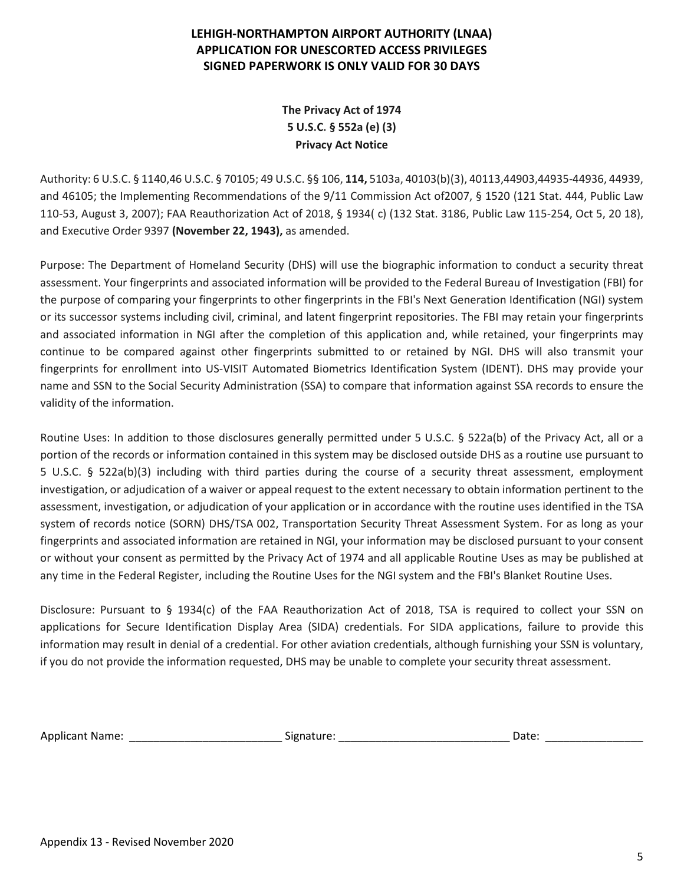**The Privacy Act of 1974 5 U.S.C. § 552a (e) (3) Privacy Act Notice**

Authority: 6 U.S.C. § 1140,46 U.S.C. § 70105; 49 U.S.C. §§ 106, **114,** 5103a, 40103(b)(3), 40113,44903,44935-44936, 44939, and 46105; the Implementing Recommendations of the 9/11 Commission Act of2007, § 1520 (121 Stat. 444, Public Law 110-53, August 3, 2007); FAA Reauthorization Act of 2018, § 1934( c) (132 Stat. 3186, Public Law 115-254, Oct 5, 20 18), and Executive Order 9397 **(November 22, 1943),** as amended.

Purpose: The Department of Homeland Security (DHS) will use the biographic information to conduct a security threat assessment. Your fingerprints and associated information will be provided to the Federal Bureau of Investigation (FBI) for the purpose of comparing your fingerprints to other fingerprints in the FBI's Next Generation Identification (NGI) system or its successor systems including civil, criminal, and latent fingerprint repositories. The FBI may retain your fingerprints and associated information in NGI after the completion of this application and, while retained, your fingerprints may continue to be compared against other fingerprints submitted to or retained by NGI. DHS will also transmit your fingerprints for enrollment into US-VISIT Automated Biometrics Identification System (IDENT). DHS may provide your name and SSN to the Social Security Administration (SSA) to compare that information against SSA records to ensure the validity of the information.

Routine Uses: In addition to those disclosures generally permitted under 5 U.S.C. § 522a(b) of the Privacy Act, all or a portion of the records or information contained in this system may be disclosed outside DHS as a routine use pursuant to 5 U.S.C. § 522a(b)(3) including with third parties during the course of a security threat assessment, employment investigation, or adjudication of a waiver or appeal request to the extent necessary to obtain information pertinent to the assessment, investigation, or adjudication of your application or in accordance with the routine uses identified in the TSA system of records notice (SORN) DHS/TSA 002, Transportation Security Threat Assessment System. For as long as your fingerprints and associated information are retained in NGI, your information may be disclosed pursuant to your consent or without your consent as permitted by the Privacy Act of 1974 and all applicable Routine Uses as may be published at any time in the Federal Register, including the Routine Uses for the NGI system and the FBI's Blanket Routine Uses.

Disclosure: Pursuant to § 1934(c) of the FAA Reauthorization Act of 2018, TSA is required to collect your SSN on applications for Secure Identification Display Area (SIDA) credentials. For SIDA applications, failure to provide this information may result in denial of a credential. For other aviation credentials, although furnishing your SSN is voluntary, if you do not provide the information requested, DHS may be unable to complete your security threat assessment.

Applicant Name: \_\_\_\_\_\_\_\_\_\_\_\_\_\_\_\_\_\_\_\_\_\_\_\_\_ Signature: \_\_\_\_\_\_\_\_\_\_\_\_\_\_\_\_\_\_\_\_\_\_\_\_\_\_\_\_ Date: \_\_\_\_\_\_\_\_\_\_\_\_\_\_\_\_